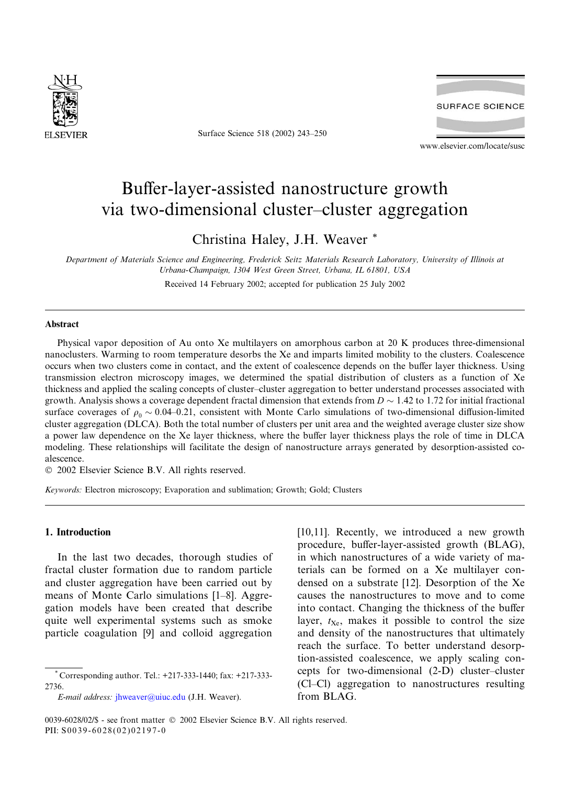

Surface Science 518 (2002) 243–250



www.elsevier.com/locate/susc

# Buffer-layer-assisted nanostructure growth via two-dimensional cluster–cluster aggregation

Christina Haley, J.H. Weaver \*

Department of Materials Science and Engineering, Frederick Seitz Materials Research Laboratory, University of Illinois at Urbana-Champaign, 1304 West Green Street, Urbana, IL 61801, USA Received 14February 2002; accepted for publication 25 July 2002

# Abstract

Physical vapor deposition of Au onto Xe multilayers on amorphous carbon at 20 K produces three-dimensional nanoclusters. Warming to room temperature desorbs the Xe and imparts limited mobility to the clusters. Coalescence occurs when two clusters come in contact, and the extent of coalescence depends on the buffer layer thickness. Using transmission electron microscopy images, we determined the spatial distribution of clusters as a function of Xe thickness and applied the scaling concepts of cluster–cluster aggregation to better understand processes associated with growth. Analysis shows a coverage dependent fractal dimension that extends from  $D \sim 1.42$  to 1.72 for initial fractional surface coverages of  $\rho_0 \sim 0.04$ –0.21, consistent with Monte Carlo simulations of two-dimensional diffusion-limited cluster aggregation (DLCA). Both the total number of clusters per unit area and the weighted average cluster size show a power law dependence on the Xe layer thickness, where the buffer layer thickness plays the role of time in DLCA modeling. These relationships will facilitate the design of nanostructure arrays generated by desorption-assisted coalescence.

2002 Elsevier Science B.V. All rights reserved.

Keywords: Electron microscopy; Evaporation and sublimation; Growth; Gold; Clusters

# 1. Introduction

In the last two decades, thorough studies of fractal cluster formation due to random particle and cluster aggregation have been carried out by means of Monte Carlo simulations [1–8]. Aggregation models have been created that describe quite well experimental systems such as smoke particle coagulation [9] and colloid aggregation

[10,11]. Recently, we introduced a new growth procedure, buffer-layer-assisted growth (BLAG), in which nanostructures of a wide variety of materials can be formed on a Xe multilayer condensed on a substrate [12]. Desorption of the Xe causes the nanostructures to move and to come into contact. Changing the thickness of the buffer layer,  $t_{\text{Xe}}$ , makes it possible to control the size and density of the nanostructures that ultimately reach the surface. To better understand desorption-assisted coalescence, we apply scaling concepts for two-dimensional (2-D) cluster–cluster (Cl–Cl) aggregation to nanostructures resulting from BLAG.

Corresponding author. Tel.: +217-333-1440; fax: +217-333-2736.

E-mail address: [jhweaver@uiuc.edu](mail to: jhweaver@uiuc.edu) (J.H. Weaver).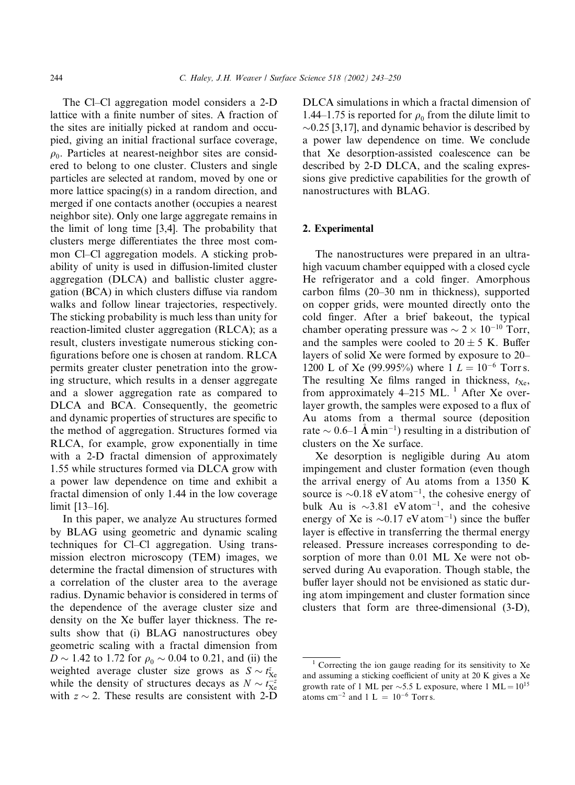The Cl–Cl aggregation model considers a 2-D lattice with a finite number of sites. A fraction of the sites are initially picked at random and occupied, giving an initial fractional surface coverage,  $\rho_0$ . Particles at nearest-neighbor sites are considered to belong to one cluster. Clusters and single particles are selected at random, moved by one or more lattice spacing(s) in a random direction, and merged if one contacts another (occupies a nearest neighbor site). Only one large aggregate remains in the limit of long time [3,4]. The probability that clusters merge differentiates the three most common Cl–Cl aggregation models. A sticking probability of unity is used in diffusion-limited cluster aggregation (DLCA) and ballistic cluster aggregation (BCA) in which clusters diffuse via random walks and follow linear trajectories, respectively. The sticking probability is much less than unity for reaction-limited cluster aggregation (RLCA); as a result, clusters investigate numerous sticking configurations before one is chosen at random. RLCA permits greater cluster penetration into the growing structure, which results in a denser aggregate and a slower aggregation rate as compared to DLCA and BCA. Consequently, the geometric and dynamic properties of structures are specific to the method of aggregation. Structures formed via RLCA, for example, grow exponentially in time with a 2-D fractal dimension of approximately 1.55 while structures formed via DLCA grow with a power law dependence on time and exhibit a fractal dimension of only 1.44 in the low coverage limit [13–16].

In this paper, we analyze Au structures formed by BLAG using geometric and dynamic scaling techniques for Cl–Cl aggregation. Using transmission electron microscopy (TEM) images, we determine the fractal dimension of structures with a correlation of the cluster area to the average radius. Dynamic behavior is considered in terms of the dependence of the average cluster size and density on the Xe buffer layer thickness. The results show that (i) BLAG nanostructures obey geometric scaling with a fractal dimension from  $D \sim 1.42$  to 1.72 for  $\rho_0 \sim 0.04$  to 0.21, and (ii) the weighted average cluster size grows as  $S \sim t_{\text{Xe}}^z$ while the density of structures decays as  $N \sim t_{\text{Xe}}^{-z}$ with  $z \sim 2$ . These results are consistent with 2-D

DLCA simulations in which a fractal dimension of 1.44–1.75 is reported for  $\rho_0$  from the dilute limit to  $\sim$ 0.25 [3,17], and dynamic behavior is described by a power law dependence on time. We conclude that Xe desorption-assisted coalescence can be described by 2-D DLCA, and the scaling expressions give predictive capabilities for the growth of nanostructures with BLAG.

### 2. Experimental

The nanostructures were prepared in an ultrahigh vacuum chamber equipped with a closed cycle He refrigerator and a cold finger. Amorphous carbon films (20–30 nm in thickness), supported on copper grids, were mounted directly onto the cold finger. After a brief bakeout, the typical chamber operating pressure was  $\sim 2 \times 10^{-10}$  Torr, and the samples were cooled to  $20 \pm 5$  K. Buffer layers of solid Xe were formed by exposure to 20– 1200 L of Xe (99.995%) where  $1 L = 10^{-6}$  Torrs. The resulting Xe films ranged in thickness,  $t_{\text{Xe}}$ , from approximately 4–215 ML.  $^1$  After Xe overlayer growth, the samples were exposed to a flux of Au atoms from a thermal source (deposition rate  $\sim$  0.6–1 Å min<sup>-1</sup>) resulting in a distribution of clusters on the Xe surface.

Xe desorption is negligible during Au atom impingement and cluster formation (even though the arrival energy of Au atoms from a 1350 K source is  $\sim 0.18$  eV atom<sup>-1</sup>, the cohesive energy of bulk Au is  $\sim$ 3.81 eV atom<sup>-1</sup>, and the cohesive energy of Xe is  $\sim 0.17$  eV atom<sup>-1</sup>) since the buffer layer is effective in transferring the thermal energy released. Pressure increases corresponding to desorption of more than 0.01 ML Xe were not observed during Au evaporation. Though stable, the buffer layer should not be envisioned as static during atom impingement and cluster formation since clusters that form are three-dimensional (3-D),

 $1$  Correcting the ion gauge reading for its sensitivity to Xe and assuming a sticking coefficient of unity at 20 K gives a Xe growth rate of 1 ML per  $\sim$ 5.5 L exposure, where 1 ML =  $10^{15}$ atoms  $\text{cm}^{-2}$  and  $1 \text{ L} = 10^{-6} \text{ Torr s.}$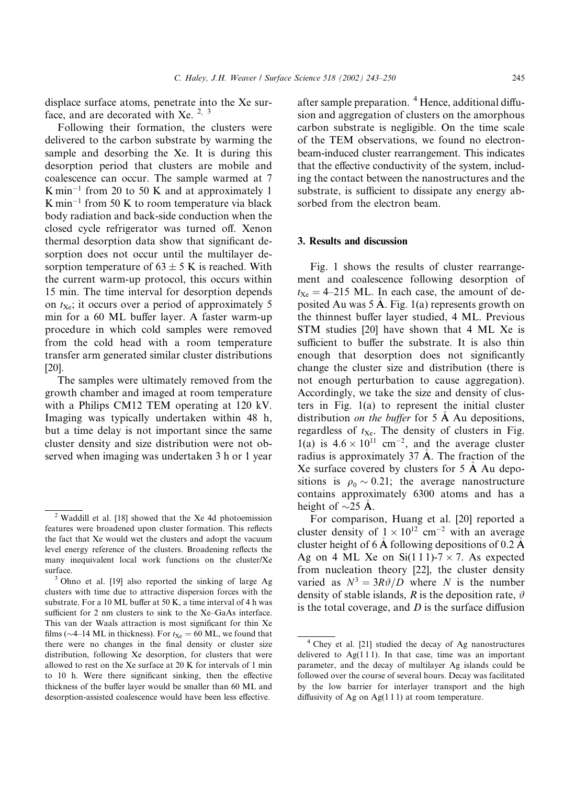displace surface atoms, penetrate into the Xe surface, and are decorated with Xe.  $2^{3}$ 

Following their formation, the clusters were delivered to the carbon substrate by warming the sample and desorbing the Xe. It is during this desorption period that clusters are mobile and coalescence can occur. The sample warmed at 7  $K \text{ min}^{-1}$  from 20 to 50 K and at approximately 1  $K$  min<sup>-1</sup> from 50 K to room temperature via black body radiation and back-side conduction when the closed cycle refrigerator was turned off. Xenon thermal desorption data show that significant desorption does not occur until the multilayer desorption temperature of  $63 \pm 5$  K is reached. With the current warm-up protocol, this occurs within 15 min. The time interval for desorption depends on  $t_{\text{Xe}}$ ; it occurs over a period of approximately 5 min for a 60 ML buffer layer. A faster warm-up procedure in which cold samples were removed from the cold head with a room temperature transfer arm generated similar cluster distributions [20].

The samples were ultimately removed from the growth chamber and imaged at room temperature with a Philips CM12 TEM operating at 120 kV. Imaging was typically undertaken within 48 h, but a time delay is not important since the same cluster density and size distribution were not observed when imaging was undertaken 3 h or 1 year

after sample preparation. <sup>4</sup> Hence, additional diffusion and aggregation of clusters on the amorphous carbon substrate is negligible. On the time scale of the TEM observations, we found no electronbeam-induced cluster rearrangement. This indicates that the effective conductivity of the system, including the contact between the nanostructures and the substrate, is sufficient to dissipate any energy absorbed from the electron beam.

# 3. Results and discussion

Fig. 1 shows the results of cluster rearrangement and coalescence following desorption of  $t_{Xe} = 4-215$  ML. In each case, the amount of deposited Au was 5 A. Fig. 1(a) represents growth on the thinnest buffer layer studied, 4ML. Previous STM studies [20] have shown that 4ML Xe is sufficient to buffer the substrate. It is also thin enough that desorption does not significantly change the cluster size and distribution (there is not enough perturbation to cause aggregation). Accordingly, we take the size and density of clusters in Fig. 1(a) to represent the initial cluster distribution *on the buffer* for  $5 \text{ Å}$  Au depositions, regardless of  $t_{\text{Xe}}$ . The density of clusters in Fig. 1(a) is  $4.6 \times 10^{11}$  cm<sup>-2</sup>, and the average cluster radius is approximately  $37 \text{ Å}$ . The fraction of the Xe surface covered by clusters for 5 A Au depo sitions is  $\rho_0 \sim 0.21$ ; the average nanostructure contains approximately 6300 atoms and has a height of  $\sim$ 25 A.

For comparison, Huang et al. [20] reported a cluster density of  $1 \times 10^{12}$  cm<sup>-2</sup> with an average cluster height of 6 A following depositions of 0.2 A Ag on 4 ML Xe on Si(1 1 1)-7  $\times$  7. As expected from nucleation theory [22], the cluster density varied as  $N^3 = 3R\vartheta/D$  where N is the number density of stable islands, R is the deposition rate,  $\vartheta$ is the total coverage, and  $D$  is the surface diffusion

<sup>2</sup> Waddill et al. [18] showed that the Xe 4d photoemission features were broadened upon cluster formation. This reflects the fact that Xe would wet the clusters and adopt the vacuum level energy reference of the clusters. Broadening reflects the many inequivalent local work functions on the cluster/Xe surface.<br><sup>3</sup> Ohno et al. [19] also reported the sinking of large Ag

clusters with time due to attractive dispersion forces with the substrate. For a 10 ML buffer at 50 K, a time interval of 4h was sufficient for 2 nm clusters to sink to the Xe–GaAs interface. This van der Waals attraction is most significant for thin Xe films ( $\sim$ 4–14 ML in thickness). For  $t_{\text{Xe}} = 60$  ML, we found that there were no changes in the final density or cluster size distribution, following Xe desorption, for clusters that were allowed to rest on the Xe surface at 20 K for intervals of 1 min to 10 h. Were there significant sinking, then the effective thickness of the buffer layer would be smaller than 60 ML and desorption-assisted coalescence would have been less effective.

<sup>4</sup> Chey et al. [21] studied the decay of Ag nanostructures delivered to  $Ag(111)$ . In that case, time was an important parameter, and the decay of multilayer Ag islands could be followed over the course of several hours. Decay was facilitated by the low barrier for interlayer transport and the high diffusivity of Ag on Ag(1 1 1) at room temperature.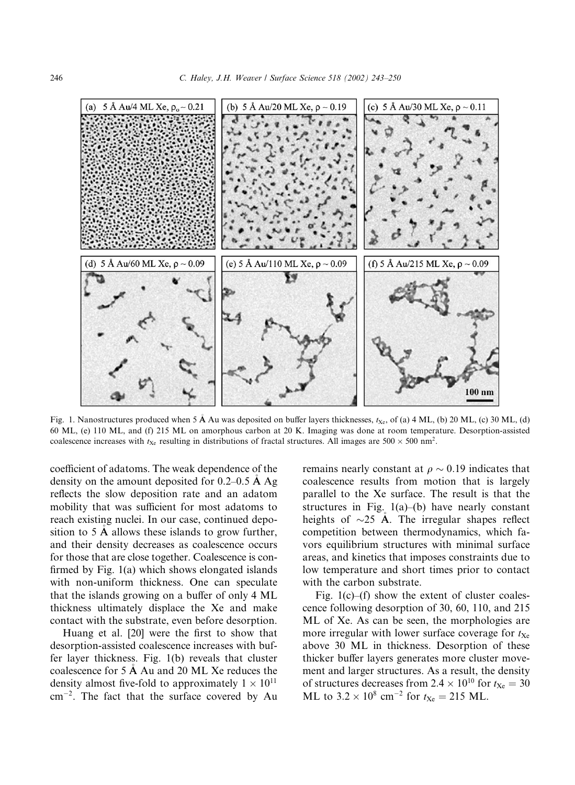

Fig. 1. Nanostructures produced when 5 Å Au was deposited on buffer layers thicknesses,  $t_{Xe}$ , of (a) 4 ML, (b) 20 ML, (c) 30 ML, (d) 60 ML, (e) 110 ML, and (f) 215 ML on amorphous carbon at 20 K. Imaging was done at room temperature. Desorption-assisted coalescence increases with  $t_{Xe}$  resulting in distributions of fractal structures. All images are 500  $\times$  500 nm<sup>2</sup>.

coefficient of adatoms. The weak dependence of the density on the amount deposited for 0.2–0.5 A Ag reflects the slow deposition rate and an adatom mobility that was sufficient for most adatoms to reach existing nuclei. In our case, continued deposition to  $5 \text{ Å}$  allows these islands to grow further, and their density decreases as coalescence occurs for those that are close together. Coalescence is confirmed by Fig. 1(a) which shows elongated islands with non-uniform thickness. One can speculate that the islands growing on a buffer of only 4ML thickness ultimately displace the Xe and make contact with the substrate, even before desorption.

Huang et al. [20] were the first to show that desorption-assisted coalescence increases with buffer layer thickness. Fig. 1(b) reveals that cluster coalescence for 5 A Au and 20 ML Xe reduces the density almost five-fold to approximately  $1 \times 10^{11}$  $\text{cm}^{-2}$ . The fact that the surface covered by Au

remains nearly constant at  $\rho \sim 0.19$  indicates that coalescence results from motion that is largely parallel to the Xe surface. The result is that the structures in Fig.  $1(a)$ –(b) have nearly constant heights of  $\sim$ 25 Å. The irregular shapes reflect competition between thermodynamics, which favors equilibrium structures with minimal surface areas, and kinetics that imposes constraints due to low temperature and short times prior to contact with the carbon substrate.

Fig.  $1(c)$ –(f) show the extent of cluster coalescence following desorption of 30, 60, 110, and 215 ML of Xe. As can be seen, the morphologies are more irregular with lower surface coverage for  $t_{\text{Xe}}$ above 30 ML in thickness. Desorption of these thicker buffer layers generates more cluster movement and larger structures. As a result, the density of structures decreases from 2.4  $\times$  10<sup>10</sup> for  $t_{\text{Xe}} = 30$ ML to  $3.2 \times 10^8$  cm<sup>-2</sup> for  $t_{\text{Xe}} = 215$  ML.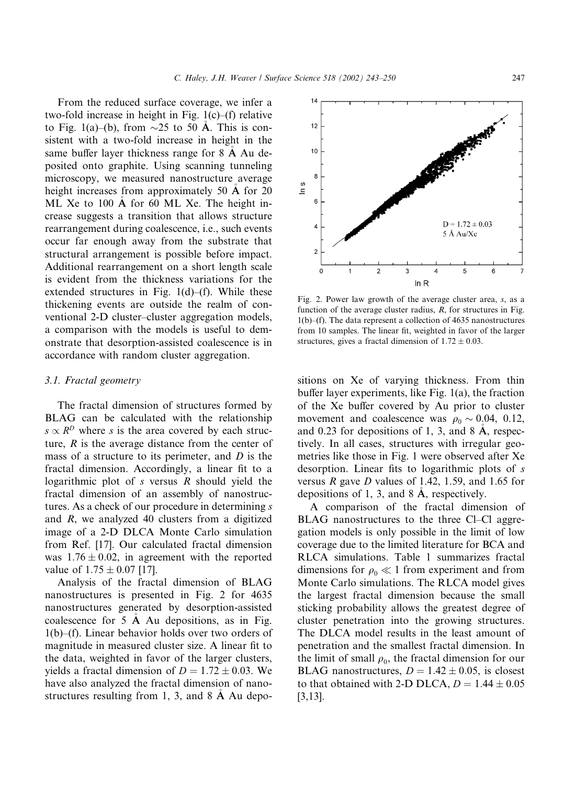From the reduced surface coverage, we infer a two-fold increase in height in Fig. 1(c)–(f) relative to Fig. 1(a)–(b), from  $\sim$ 25 to 50 A. This is consistent with a two-fold increase in height in the same buffer layer thickness range for 8 A Au de posited onto graphite. Using scanning tunneling microscopy, we measured nanostructure average height increases from approximately 50 Å for 20 ML Xe to 100 A for 60 ML Xe. The height in crease suggests a transition that allows structure rearrangement during coalescence, i.e., such events occur far enough away from the substrate that structural arrangement is possible before impact. Additional rearrangement on a short length scale is evident from the thickness variations for the extended structures in Fig.  $1(d)$ –(f). While these thickening events are outside the realm of conventional 2-D cluster–cluster aggregation models, a comparison with the models is useful to demonstrate that desorption-assisted coalescence is in accordance with random cluster aggregation.

#### 3.1. Fractal geometry

The fractal dimension of structures formed by BLAG can be calculated with the relationship  $s \propto R^D$  where s is the area covered by each structure, R is the average distance from the center of mass of a structure to its perimeter, and  $D$  is the fractal dimension. Accordingly, a linear fit to a logarithmic plot of  $s$  versus  $R$  should yield the fractal dimension of an assembly of nanostructures. As a check of our procedure in determining s and R, we analyzed 40 clusters from a digitized image of a 2-D DLCA Monte Carlo simulation from Ref. [17]. Our calculated fractal dimension was  $1.76 \pm 0.02$ , in agreement with the reported value of  $1.75 \pm 0.07$  [17].

Analysis of the fractal dimension of BLAG nanostructures is presented in Fig. 2 for 4635 nanostructures generated by desorption-assisted coalescence for 5 A Au depositions, as in Fig. 1(b)–(f). Linear behavior holds over two orders of magnitude in measured cluster size. A linear fit to the data, weighted in favor of the larger clusters, yields a fractal dimension of  $D = 1.72 \pm 0.03$ . We have also analyzed the fractal dimension of nanostructures resulting from 1, 3, and  $8 \text{ Å}$  Au depo-



Fig. 2. Power law growth of the average cluster area,  $s$ , as a function of the average cluster radius,  $R$ , for structures in Fig. 1(b)–(f). The data represent a collection of 4635 nanostructures from 10 samples. The linear fit, weighted in favor of the larger structures, gives a fractal dimension of  $1.72 \pm 0.03$ .

sitions on Xe of varying thickness. From thin buffer layer experiments, like Fig. 1(a), the fraction of the Xe buffer covered by Au prior to cluster movement and coalescence was  $\rho_0 \sim 0.04$ , 0.12, and 0.23 for depositions of 1, 3, and 8 A, respec tively. In all cases, structures with irregular geometries like those in Fig. 1 were observed after Xe desorption. Linear fits to logarithmic plots of s versus  $R$  gave  $D$  values of 1.42, 1.59, and 1.65 for depositions of 1, 3, and 8 A, respectively.

A comparison of the fractal dimension of BLAG nanostructures to the three Cl–Cl aggregation models is only possible in the limit of low coverage due to the limited literature for BCA and RLCA simulations. Table 1 summarizes fractal dimensions for  $\rho_0 \ll 1$  from experiment and from Monte Carlo simulations. The RLCA model gives the largest fractal dimension because the small sticking probability allows the greatest degree of cluster penetration into the growing structures. The DLCA model results in the least amount of penetration and the smallest fractal dimension. In the limit of small  $\rho_0$ , the fractal dimension for our BLAG nanostructures,  $D = 1.42 \pm 0.05$ , is closest to that obtained with 2-D DLCA,  $D = 1.44 \pm 0.05$ [3,13].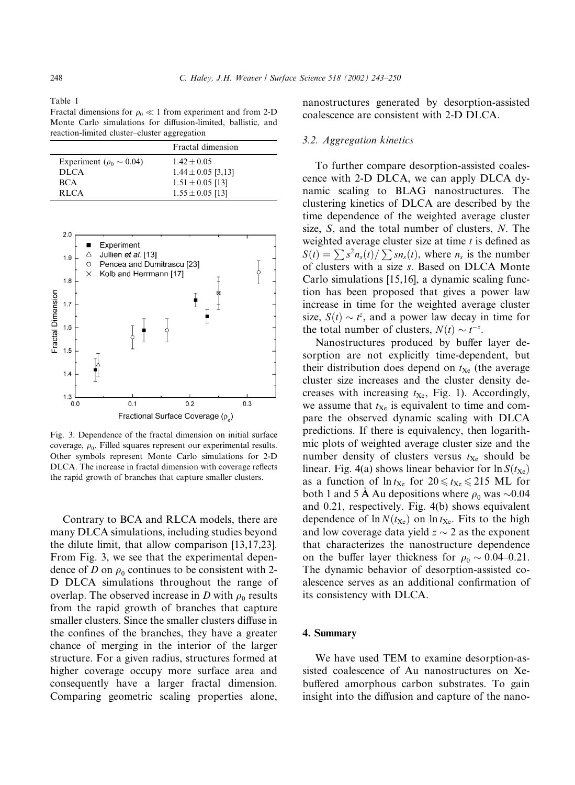Fractal dimensions for  $\rho_0 \ll 1$  from experiment and from 2-D Monte Carlo simulations for diffusion-limited, ballistic, and reaction-limited cluster–cluster aggregation

|                                   | Fractal dimension      |
|-----------------------------------|------------------------|
| Experiment ( $\rho_0 \sim 0.04$ ) | $1.42 + 0.05$          |
| <b>DLCA</b>                       | $1.44 \pm 0.05$ [3,13] |
| <b>BCA</b>                        | $1.51 \pm 0.05$ [13]   |
| <b>RLCA</b>                       | $1.55 \pm 0.05$ [13]   |



Fig. 3. Dependence of the fractal dimension on initial surface coverage,  $\rho_0$ . Filled squares represent our experimental results. Other symbols represent Monte Carlo simulations for 2-D DLCA. The increase in fractal dimension with coverage reflects the rapid growth of branches that capture smaller clusters.

Contrary to BCA and RLCA models, there are many DLCA simulations, including studies beyond the dilute limit, that allow comparison [13,17,23]. From Fig. 3, we see that the experimental dependence of D on  $\rho_0$  continues to be consistent with 2-D DLCA simulations throughout the range of overlap. The observed increase in D with  $\rho_0$  results from the rapid growth of branches that capture smaller clusters. Since the smaller clusters diffuse in the confines of the branches, they have a greater chance of merging in the interior of the larger structure. For a given radius, structures formed at higher coverage occupy more surface area and consequently have a larger fractal dimension. Comparing geometric scaling properties alone, nanostructures generated by desorption-assisted coalescence are consistent with 2-D DLCA.

#### 3.2. Aggregation kinetics

To further compare desorption-assisted coalescence with 2-D DLCA, we can apply DLCA dynamic scaling to BLAG nanostructures. The clustering kinetics of DLCA are described by the time dependence of the weighted average cluster size, S, and the total number of clusters, N. The weighted average cluster size at time  $t$  is defined as  $S(t) = \sum s^2 n_s(t) / \sum sn_s(t)$ , where  $n_s$  is the number of clusters with a size s. Based on DLCA Monte Carlo simulations [15,16], a dynamic scaling function has been proposed that gives a power law increase in time for the weighted average cluster size,  $S(t) \sim t^z$ , and a power law decay in time for the total number of clusters,  $N(t) \sim t^{-z}$ .

Nanostructures produced by buffer layer desorption are not explicitly time-dependent, but their distribution does depend on  $t_{Xe}$  (the average cluster size increases and the cluster density decreases with increasing  $t_{\text{Xe}}$ , Fig. 1). Accordingly, we assume that  $t_{Xe}$  is equivalent to time and compare the observed dynamic scaling with DLCA predictions. If there is equivalency, then logarithmic plots of weighted average cluster size and the number density of clusters versus  $t_{Xe}$  should be linear. Fig. 4(a) shows linear behavior for  $\ln S(t_{\text{Xe}})$ as a function of  $\ln t_{\text{Xe}}$  for  $20 \leq t_{\text{Xe}} \leq 215$  ML for both 1 and 5 A Au depositions where  $\rho_0$  was  $\sim 0.04$ and 0.21, respectively. Fig. 4(b) shows equivalent dependence of  $\ln N(t_{\text{Xe}})$  on  $\ln t_{\text{Xe}}$ . Fits to the high and low coverage data yield  $z \sim 2$  as the exponent that characterizes the nanostructure dependence on the buffer layer thickness for  $\rho_0 \sim 0.04$ –0.21. The dynamic behavior of desorption-assisted coalescence serves as an additional confirmation of its consistency with DLCA.

#### 4. Summary

We have used TEM to examine desorption-assisted coalescence of Au nanostructures on Xebuffered amorphous carbon substrates. To gain insight into the diffusion and capture of the nano-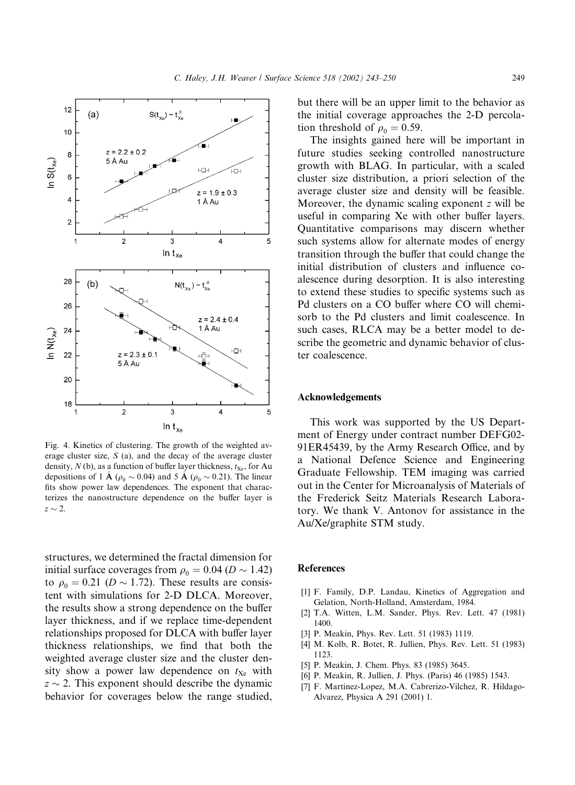

Fig. 4. Kinetics of clustering. The growth of the weighted average cluster size, S (a), and the decay of the average cluster density,  $N$  (b), as a function of buffer layer thickness,  $t_{Xe}$ , for Au depositions of 1  $\AA$  ( $\rho_0 \sim 0.04$ ) and 5  $\AA$  ( $\rho_0 \sim 0.21$ ). The linear fits show power law dependences. The exponent that characterizes the nanostructure dependence on the buffer layer is  $z \sim 2$ .

structures, we determined the fractal dimension for initial surface coverages from  $\rho_0 = 0.04$  ( $D \sim 1.42$ ) to  $\rho_0 = 0.21$  ( $D \sim 1.72$ ). These results are consistent with simulations for 2-D DLCA. Moreover, the results show a strong dependence on the buffer layer thickness, and if we replace time-dependent relationships proposed for DLCA with buffer layer thickness relationships, we find that both the weighted average cluster size and the cluster density show a power law dependence on  $t_{Xe}$  with  $z \sim 2$ . This exponent should describe the dynamic behavior for coverages below the range studied,

but there will be an upper limit to the behavior as the initial coverage approaches the 2-D percolation threshold of  $\rho_0 = 0.59$ .

The insights gained here will be important in future studies seeking controlled nanostructure growth with BLAG. In particular, with a scaled cluster size distribution, a priori selection of the average cluster size and density will be feasible. Moreover, the dynamic scaling exponent  $z$  will be useful in comparing Xe with other buffer layers. Quantitative comparisons may discern whether such systems allow for alternate modes of energy transition through the buffer that could change the initial distribution of clusters and influence coalescence during desorption. It is also interesting to extend these studies to specific systems such as Pd clusters on a CO buffer where CO will chemisorb to the Pd clusters and limit coalescence. In such cases, RLCA may be a better model to describe the geometric and dynamic behavior of cluster coalescence.

#### Acknowledgements

This work was supported by the US Department of Energy under contract number DEFG02- 91ER45439, by the Army Research Office, and by a National Defence Science and Engineering Graduate Fellowship. TEM imaging was carried out in the Center for Microanalysis of Materials of the Frederick Seitz Materials Research Laboratory. We thank V. Antonov for assistance in the Au/Xe/graphite STM study.

## References

- [1] F. Family, D.P. Landau, Kinetics of Aggregation and Gelation, North-Holland, Amsterdam, 1984.
- [2] T.A. Witten, L.M. Sander, Phys. Rev. Lett. 47 (1981) 1400.
- [3] P. Meakin, Phys. Rev. Lett. 51 (1983) 1119.
- [4] M. Kolb, R. Botet, R. Jullien, Phys. Rev. Lett. 51 (1983) 1123.
- [5] P. Meakin, J. Chem. Phys. 83 (1985) 3645.
- [6] P. Meakin, R. Jullien, J. Phys. (Paris) 46 (1985) 1543.
- [7] F. Martinez-Lopez, M.A. Cabrerizo-Vilchez, R. Hildago-Alvarez, Physica A 291 (2001) 1.